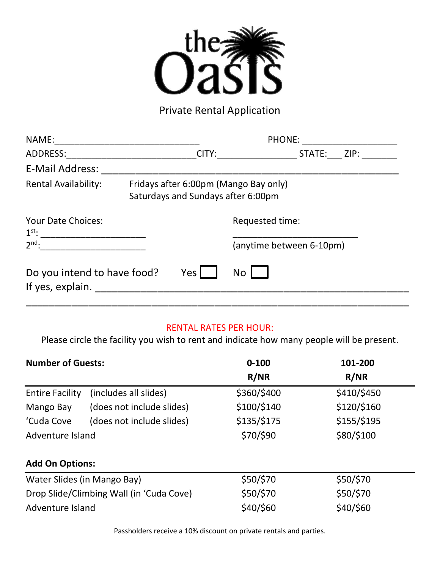

Private Rental Application

| NAME:                                           | <b>PHONE:</b>                                                               |                                             |  |
|-------------------------------------------------|-----------------------------------------------------------------------------|---------------------------------------------|--|
| ADDRESS:                                        | CITY:                                                                       | ZIP:<br>STATE:                              |  |
| <b>E-Mail Address:</b>                          |                                                                             |                                             |  |
| <b>Rental Availability:</b>                     | Fridays after 6:00pm (Mango Bay only)<br>Saturdays and Sundays after 6:00pm |                                             |  |
| Your Date Choices:<br>$2nd$ :                   |                                                                             | Requested time:<br>(anytime between 6-10pm) |  |
| Do you intend to have food?<br>If yes, explain. | Yes I                                                                       | No                                          |  |

### RENTAL RATES PER HOUR:

Please circle the facility you wish to rent and indicate how many people will be present.

| <b>Number of Guests:</b>                 |                           | $0 - 100$   | 101-200     |  |  |
|------------------------------------------|---------------------------|-------------|-------------|--|--|
|                                          |                           | R/NR        | R/NR        |  |  |
| <b>Entire Facility</b>                   | (includes all slides)     | \$360/\$400 | \$410/\$450 |  |  |
| Mango Bay                                | (does not include slides) | \$100/\$140 | \$120/\$160 |  |  |
| 'Cuda Cove                               | (does not include slides) | \$135/\$175 | \$155/\$195 |  |  |
| Adventure Island                         |                           | \$70/\$90   | \$80/\$100  |  |  |
| <b>Add On Options:</b>                   |                           |             |             |  |  |
| Water Slides (in Mango Bay)              |                           | \$50/\$70   | \$50/\$70   |  |  |
| Drop Slide/Climbing Wall (in 'Cuda Cove) |                           | \$50/\$70   | \$50/\$70   |  |  |
| Adventure Island                         |                           | \$40/\$60   | \$40/\$60   |  |  |

Passholders receive a 10% discount on private rentals and parties.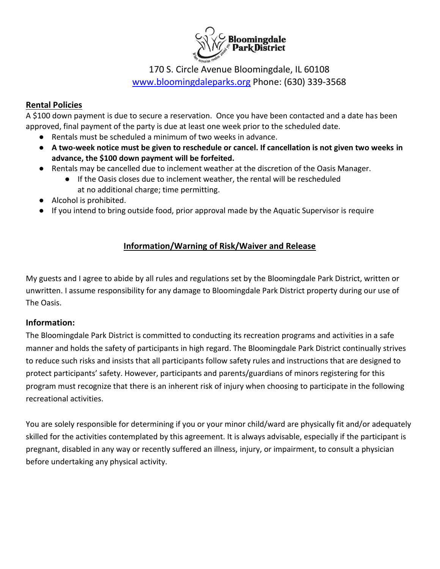

# 170 S. Circle Avenue Bloomingdale, IL 60108 [www.bloomingdaleparks.org](http://www.bloomingdaleparks.org/) Phone: (630) 339-3568

### **Rental Policies**

A \$100 down payment is due to secure a reservation. Once you have been contacted and a date has been approved, final payment of the party is due at least one week prior to the scheduled date.

- Rentals must be scheduled a minimum of two weeks in advance.
- **A two-week notice must be given to reschedule or cancel. If cancellation is not given two weeks in advance, the \$100 down payment will be forfeited.**
- Rentals may be cancelled due to inclement weather at the discretion of the Oasis Manager.
	- If the Oasis closes due to inclement weather, the rental will be rescheduled at no additional charge; time permitting.
- Alcohol is prohibited.
- If you intend to bring outside food, prior approval made by the Aquatic Supervisor is require

## **Information/Warning of Risk/Waiver and Release**

My guests and I agree to abide by all rules and regulations set by the Bloomingdale Park District, written or unwritten. I assume responsibility for any damage to Bloomingdale Park District property during our use of The Oasis.

#### **Information:**

The Bloomingdale Park District is committed to conducting its recreation programs and activities in a safe manner and holds the safety of participants in high regard. The Bloomingdale Park District continually strives to reduce such risks and insists that all participants follow safety rules and instructions that are designed to protect participants' safety. However, participants and parents/guardians of minors registering for this program must recognize that there is an inherent risk of injury when choosing to participate in the following recreational activities.

You are solely responsible for determining if you or your minor child/ward are physically fit and/or adequately skilled for the activities contemplated by this agreement. It is always advisable, especially if the participant is pregnant, disabled in any way or recently suffered an illness, injury, or impairment, to consult a physician before undertaking any physical activity.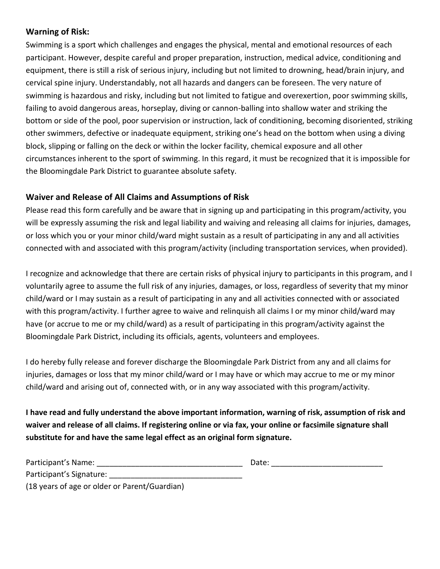### **Warning of Risk:**

Swimming is a sport which challenges and engages the physical, mental and emotional resources of each participant. However, despite careful and proper preparation, instruction, medical advice, conditioning and equipment, there is still a risk of serious injury, including but not limited to drowning, head/brain injury, and cervical spine injury. Understandably, not all hazards and dangers can be foreseen. The very nature of swimming is hazardous and risky, including but not limited to fatigue and overexertion, poor swimming skills, failing to avoid dangerous areas, horseplay, diving or cannon-balling into shallow water and striking the bottom or side of the pool, poor supervision or instruction, lack of conditioning, becoming disoriented, striking other swimmers, defective or inadequate equipment, striking one's head on the bottom when using a diving block, slipping or falling on the deck or within the locker facility, chemical exposure and all other circumstances inherent to the sport of swimming. In this regard, it must be recognized that it is impossible for the Bloomingdale Park District to guarantee absolute safety.

### **Waiver and Release of All Claims and Assumptions of Risk**

Please read this form carefully and be aware that in signing up and participating in this program/activity, you will be expressly assuming the risk and legal liability and waiving and releasing all claims for injuries, damages, or loss which you or your minor child/ward might sustain as a result of participating in any and all activities connected with and associated with this program/activity (including transportation services, when provided).

I recognize and acknowledge that there are certain risks of physical injury to participants in this program, and I voluntarily agree to assume the full risk of any injuries, damages, or loss, regardless of severity that my minor child/ward or I may sustain as a result of participating in any and all activities connected with or associated with this program/activity. I further agree to waive and relinquish all claims I or my minor child/ward may have (or accrue to me or my child/ward) as a result of participating in this program/activity against the Bloomingdale Park District, including its officials, agents, volunteers and employees.

I do hereby fully release and forever discharge the Bloomingdale Park District from any and all claims for injuries, damages or loss that my minor child/ward or I may have or which may accrue to me or my minor child/ward and arising out of, connected with, or in any way associated with this program/activity.

**I have read and fully understand the above important information, warning of risk, assumption of risk and waiver and release of all claims. If registering online or via fax, your online or facsimile signature shall substitute for and have the same legal effect as an original form signature.**

| Participant's Name:      | Date: |  |
|--------------------------|-------|--|
| Participant's Signature: |       |  |

(18 years of age or older or Parent/Guardian)